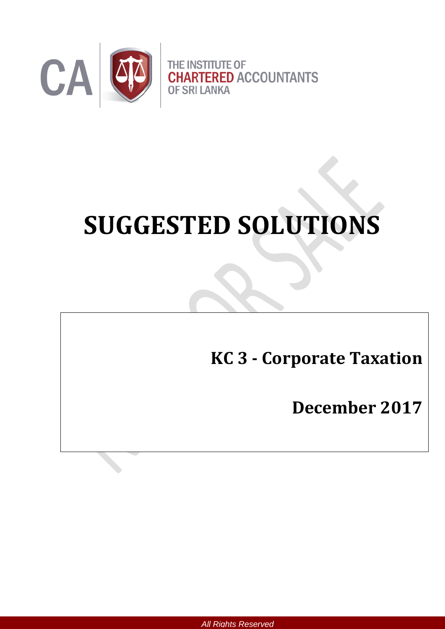

# **SUGGESTED SOLUTIONS**

**KC 3 - Corporate Taxation**

**December 2017**

*All Rights Reserved*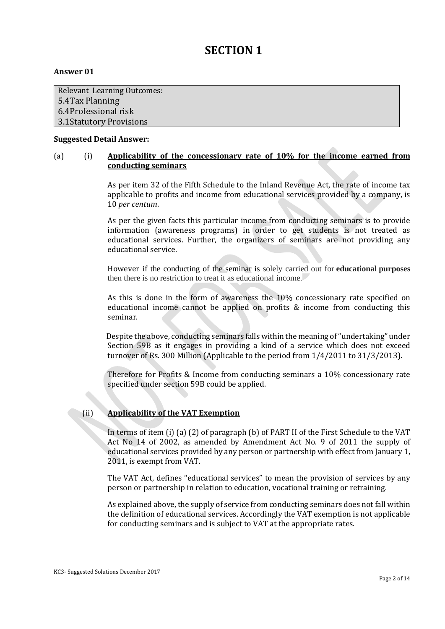# **SECTION 1**

#### **Answer 01**

Relevant Learning Outcomes: 5.4Tax Planning 6.4Professional risk 3.1Statutory Provisions

#### **Suggested Detail Answer:**

#### (a) (i) **Applicability of the concessionary rate of 10% for the income earned from conducting seminars**

As per item 32 of the Fifth Schedule to the Inland Revenue Act, the rate of income tax applicable to profits and income from educational services provided by a company, is 10 *per centum*.

As per the given facts this particular income from conducting seminars is to provide information (awareness programs) in order to get students is not treated as educational services. Further, the organizers of seminars are not providing any educational service.

However if the conducting of the seminar is solely carried out for **educational purposes** then there is no restriction to treat it as educational income.

As this is done in the form of awareness the 10% concessionary rate specified on educational income cannot be applied on profits & income from conducting this seminar.

 Despite the above, conducting seminars falls within the meaning of "undertaking" under Section 59B as it engages in providing a kind of a service which does not exceed turnover of Rs. 300 Million (Applicable to the period from 1/4/2011 to 31/3/2013).

Therefore for Profits & Income from conducting seminars a 10% concessionary rate specified under section 59B could be applied.

#### (ii) **Applicability of the VAT Exemption**

In terms of item (i) (a) (2) of paragraph (b) of PART II of the First Schedule to the VAT Act No 14 of 2002, as amended by Amendment Act No. 9 of 2011 the supply of educational services provided by any person or partnership with effect from January 1, 2011, is exempt from VAT.

The VAT Act, defines "educational services" to mean the provision of services by any person or partnership in relation to education, vocational training or retraining.

As explained above, the supply of service from conducting seminars does not fall within the definition of educational services. Accordingly the VAT exemption is not applicable for conducting seminars and is subject to VAT at the appropriate rates.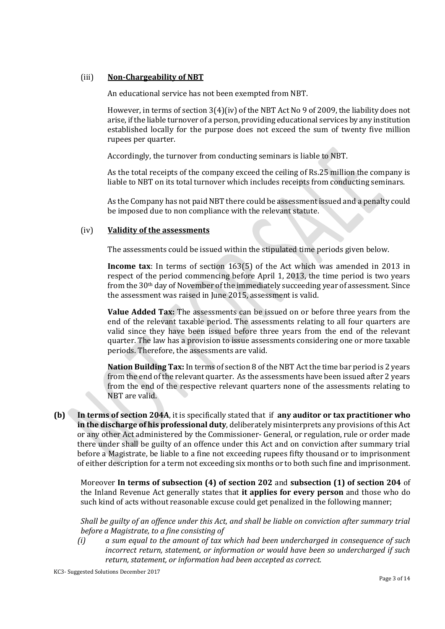#### (iii) **Non-Chargeability of NBT**

An educational service has not been exempted from NBT.

However, in terms of section 3(4)(iv) of the NBT Act No 9 of 2009, the liability does not arise, if the liable turnover of a person, providing educational services by any institution established locally for the purpose does not exceed the sum of twenty five million rupees per quarter.

Accordingly, the turnover from conducting seminars is liable to NBT.

As the total receipts of the company exceed the ceiling of Rs.25 million the company is liable to NBT on its total turnover which includes receipts from conducting seminars.

As the Company has not paid NBT there could be assessment issued and a penalty could be imposed due to non compliance with the relevant statute.

#### (iv) **Validity of the assessments**

The assessments could be issued within the stipulated time periods given below.

**Income tax**: In terms of section 163(5) of the Act which was amended in 2013 in respect of the period commencing before April 1, 2013, the time period is two years from the 30th day of November of the immediately succeeding year of assessment. Since the assessment was raised in June 2015, assessment is valid.

**Value Added Tax:** The assessments can be issued on or before three years from the end of the relevant taxable period. The assessments relating to all four quarters are valid since they have been issued before three years from the end of the relevant quarter. The law has a provision to issue assessments considering one or more taxable periods. Therefore, the assessments are valid.

**Nation Building Tax:** In terms of section 8 of the NBT Act the time bar period is 2 years from the end of the relevant quarter. As the assessments have been issued after 2 years from the end of the respective relevant quarters none of the assessments relating to NBT are valid.

**(b) In terms of section 204A**, it is specifically stated that if **any auditor or tax practitioner who in the discharge of his professional duty**, deliberately misinterprets any provisions of this Act or any other Act administered by the Commissioner- General, or regulation, rule or order made there under shall be guilty of an offence under this Act and on conviction after summary trial before a Magistrate, be liable to a fine not exceeding rupees fifty thousand or to imprisonment of either description for a term not exceeding six months or to both such fine and imprisonment.

Moreover **In terms of subsection (4) of section 202** and **subsection (1) of section 204** of the Inland Revenue Act generally states that **it applies for every person** and those who do such kind of acts without reasonable excuse could get penalized in the following manner;

*Shall be guilty of an offence under this Act, and shall be liable on conviction after summary trial before a Magistrate, to a fine consisting of*

*(i) a sum equal to the amount of tax which had been undercharged in consequence of such incorrect return, statement, or information or would have been so undercharged if such return, statement, or information had been accepted as correct.*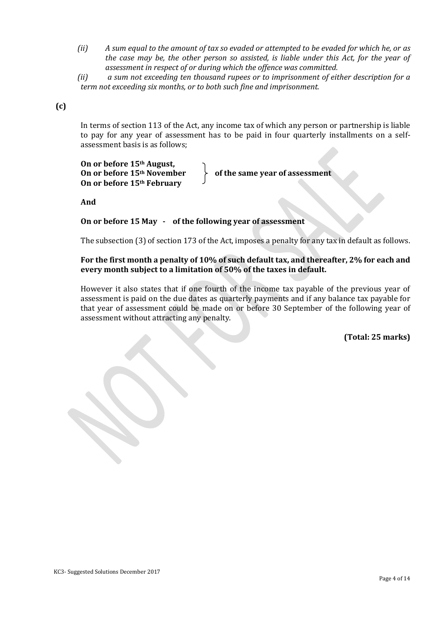*(ii) A sum equal to the amount of tax so evaded or attempted to be evaded for which he, or as the case may be, the other person so assisted, is liable under this Act, for the year of assessment in respect of or during which the offence was committed.*

*(ii) a sum not exceeding ten thousand rupees or to imprisonment of either description for a term not exceeding six months, or to both such fine and imprisonment.*

#### **(c)**

In terms of section 113 of the Act, any income tax of which any person or partnership is liable to pay for any year of assessment has to be paid in four quarterly installments on a selfassessment basis is as follows;

**On or before 15th August,**  On or before 15<sup>th</sup> November  $\downarrow$  of the same year of assessment **On or before 15th February** 

**And**

**On or before 15 May - of the following year of assessment** 

The subsection (3) of section 173 of the Act, imposes a penalty for any tax in default as follows.

#### **For the first month a penalty of 10% of such default tax, and thereafter, 2% for each and every month subject to a limitation of 50% of the taxes in default.**

However it also states that if one fourth of the income tax payable of the previous year of assessment is paid on the due dates as quarterly payments and if any balance tax payable for that year of assessment could be made on or before 30 September of the following year of assessment without attracting any penalty.

**(Total: 25 marks)**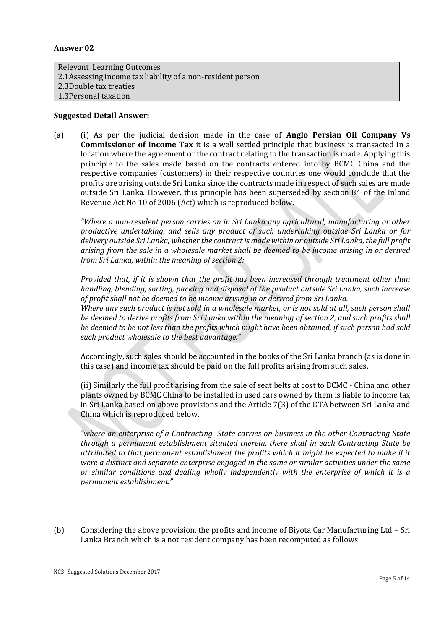#### **Answer 02**

Relevant Learning Outcomes 2.1Assessing income tax liability of a non-resident person 2.3Double tax treaties 1.3Personal taxation

*such product wholesale to the best advantage."* 

#### **Suggested Detail Answer:**

(a) (i) As per the judicial decision made in the case of **Anglo Persian Oil Company Vs Commissioner of Income Tax** it is a well settled principle that business is transacted in a location where the agreement or the contract relating to the transaction is made. Applying this principle to the sales made based on the contracts entered into by BCMC China and the respective companies (customers) in their respective countries one would conclude that the profits are arising outside Sri Lanka since the contracts made in respect of such sales are made outside Sri Lanka. However, this principle has been superseded by section 84 of the Inland Revenue Act No 10 of 2006 (Act) which is reproduced below.

*"Where a non-resident person carries on in Sri Lanka any agricultural, manufacturing or other productive undertaking, and sells any product of such undertaking outside Sri Lanka or for delivery outside Sri Lanka, whether the contract is made within or outside Sri Lanka, the full profit arising from the sale in a wholesale market shall be deemed to be income arising in or derived from Sri Lanka, within the meaning of section 2:*

*Provided that, if it is shown that the profit has been increased through treatment other than handling, blending, sorting, packing and disposal of the product outside Sri Lanka, such increase of profit shall not be deemed to be income arising in or derived from Sri Lanka. Where any such product is not sold in a wholesale market, or is not sold at all, such person shall be deemed to derive profits from Sri Lanka within the meaning of section 2, and such profits shall be deemed to be not less than the profits which might have been obtained, if such person had sold* 

Accordingly, such sales should be accounted in the books of the Sri Lanka branch (as is done in this case) and income tax should be paid on the full profits arising from such sales.

(ii) Similarly the full profit arising from the sale of seat belts at cost to BCMC - China and other plants owned by BCMC China to be installed in used cars owned by them is liable to income tax in Sri Lanka based on above provisions and the Article 7(3) of the DTA between Sri Lanka and China which is reproduced below.

*"where an enterprise of a Contracting State carries on business in the other Contracting State through a permanent establishment situated therein, there shall in each Contracting State be attributed to that permanent establishment the profits which it might be expected to make if it were a distinct and separate enterprise engaged in the same or similar activities under the same or similar conditions and dealing wholly independently with the enterprise of which it is a permanent establishment."*

(b) Considering the above provision, the profits and income of Biyota Car Manufacturing Ltd – Sri Lanka Branch which is a not resident company has been recomputed as follows.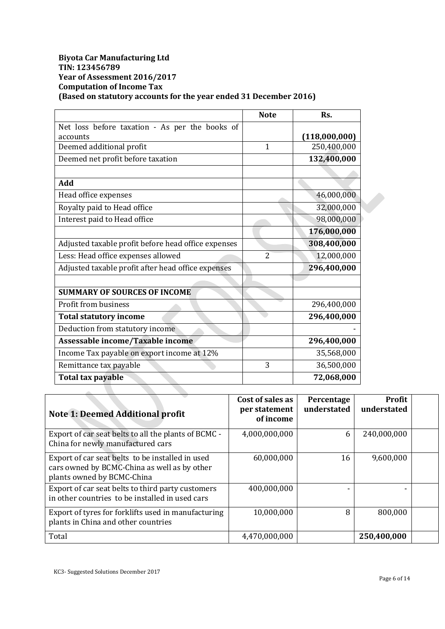#### **Biyota Car Manufacturing Ltd TIN: 123456789 Year of Assessment 2016/2017 Computation of Income Tax (Based on statutory accounts for the year ended 31 December 2016)**

|                                                     | <b>Note</b>  | Rs.           |
|-----------------------------------------------------|--------------|---------------|
| Net loss before taxation - As per the books of      |              |               |
| accounts                                            |              | (118,000,000) |
| Deemed additional profit                            | $\mathbf{1}$ | 250,400,000   |
| Deemed net profit before taxation                   |              | 132,400,000   |
|                                                     |              |               |
| Add                                                 |              |               |
| Head office expenses                                |              | 46,000,000    |
| Royalty paid to Head office                         |              | 32,000,000    |
| Interest paid to Head office                        |              | 98,000,000    |
|                                                     |              | 176,000,000   |
| Adjusted taxable profit before head office expenses |              | 308,400,000   |
| Less: Head office expenses allowed                  | 2            | 12,000,000    |
| Adjusted taxable profit after head office expenses  |              | 296,400,000   |
|                                                     |              |               |
| <b>SUMMARY OF SOURCES OF INCOME</b>                 |              |               |
| Profit from business                                |              | 296,400,000   |
| <b>Total statutory income</b>                       |              | 296,400,000   |
| Deduction from statutory income                     |              |               |
| Assessable income/Taxable income                    |              | 296,400,000   |
| Income Tax payable on export income at 12%          |              | 35,568,000    |
| Remittance tax payable                              | 3            | 36,500,000    |
| <b>Total tax payable</b>                            |              | 72,068,000    |

| <b>Note 1: Deemed Additional profit</b>                                                                                        | Cost of sales as<br>per statement<br>of income | Percentage<br>understated | Profit<br>understated |  |
|--------------------------------------------------------------------------------------------------------------------------------|------------------------------------------------|---------------------------|-----------------------|--|
| Export of car seat belts to all the plants of BCMC -<br>China for newly manufactured cars                                      | 4,000,000,000                                  | 6                         | 240,000,000           |  |
| Export of car seat belts to be installed in used<br>cars owned by BCMC-China as well as by other<br>plants owned by BCMC-China | 60,000,000                                     | 16                        | 9,600,000             |  |
| Export of car seat belts to third party customers<br>in other countries to be installed in used cars                           | 400,000,000                                    |                           |                       |  |
| Export of tyres for forklifts used in manufacturing<br>plants in China and other countries                                     | 10,000,000                                     | 8                         | 800,000               |  |
| Total                                                                                                                          | 4,470,000,000                                  |                           | 250,400,000           |  |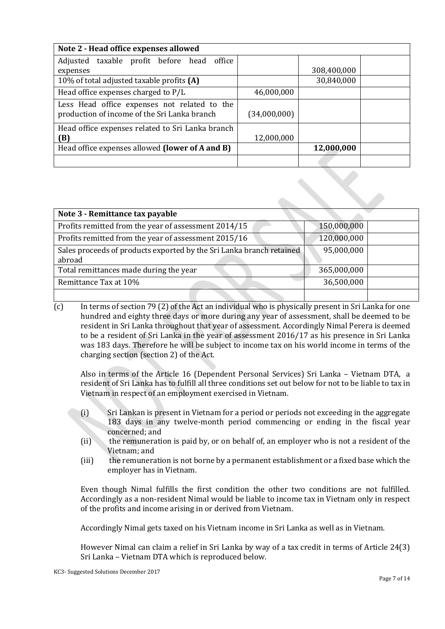| Note 2 - Head office expenses allowed            |              |             |  |  |
|--------------------------------------------------|--------------|-------------|--|--|
| Adjusted taxable profit before head office       |              |             |  |  |
| expenses                                         |              | 308,400,000 |  |  |
| 10% of total adjusted taxable profits (A)        |              | 30,840,000  |  |  |
| Head office expenses charged to P/L              | 46,000,000   |             |  |  |
| Less Head office expenses not related to the     |              |             |  |  |
| production of income of the Sri Lanka branch     | (34,000,000) |             |  |  |
| Head office expenses related to Sri Lanka branch |              |             |  |  |
| (B)                                              | 12,000,000   |             |  |  |
| Head office expenses allowed (lower of A and B)  |              | 12,000,000  |  |  |
|                                                  |              |             |  |  |

| Note 3 - Remittance tax payable                                                |             |  |
|--------------------------------------------------------------------------------|-------------|--|
| Profits remitted from the year of assessment 2014/15                           | 150,000,000 |  |
| Profits remitted from the year of assessment 2015/16                           | 120,000,000 |  |
| Sales proceeds of products exported by the Sri Lanka branch retained<br>abroad | 95,000,000  |  |
| Total remittances made during the year                                         | 365,000,000 |  |
| Remittance Tax at 10%                                                          | 36,500,000  |  |
|                                                                                |             |  |

 $\overline{c}$  In terms of section 79 (2) of the Act an individual who is physically present in Sri Lanka for one hundred and eighty three days or more during any year of assessment, shall be deemed to be resident in Sri Lanka throughout that year of assessment. Accordingly Nimal Perera is deemed to be a resident of Sri Lanka in the year of assessment 2016/17 as his presence in Sri Lanka was 183 days. Therefore he will be subject to income tax on his world income in terms of the charging section (section 2) of the Act.

Also in terms of the Article 16 (Dependent Personal Services) Sri Lanka – Vietnam DTA, a resident of Sri Lanka has to fulfill all three conditions set out below for not to be liable to tax in Vietnam in respect of an employment exercised in Vietnam.

- (i) Sri Lankan is present in Vietnam for a period or periods not exceeding in the aggregate 183 days in any twelve-month period commencing or ending in the fiscal year concerned; and
- (ii) the remuneration is paid by, or on behalf of, an employer who is not a resident of the Vietnam; and
- (iii) the remuneration is not borne by a permanent establishment or a fixed base which the employer has in Vietnam.

Even though Nimal fulfills the first condition the other two conditions are not fulfilled. Accordingly as a non-resident Nimal would be liable to income tax in Vietnam only in respect of the profits and income arising in or derived from Vietnam.

Accordingly Nimal gets taxed on his Vietnam income in Sri Lanka as well as in Vietnam.

However Nimal can claim a relief in Sri Lanka by way of a tax credit in terms of Article 24(3) Sri Lanka – Vietnam DTA which is reproduced below.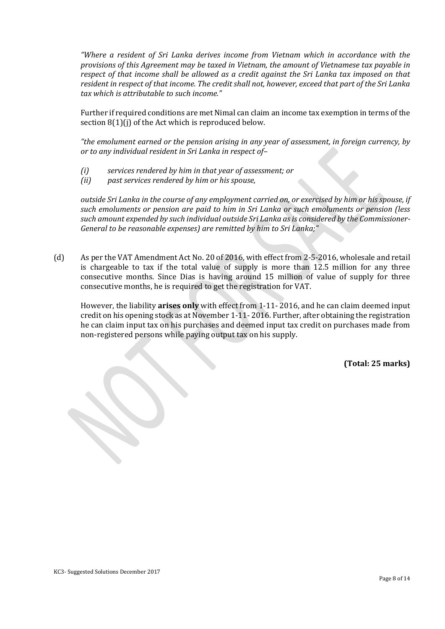*"Where a resident of Sri Lanka derives income from Vietnam which in accordance with the provisions of this Agreement may be taxed in Vietnam, the amount of Vietnamese tax payable in respect of that income shall be allowed as a credit against the Sri Lanka tax imposed on that resident in respect of that income. The credit shall not, however, exceed that part of the Sri Lanka tax which is attributable to such income."*

Further if required conditions are met Nimal can claim an income tax exemption in terms of the section 8(1)(j) of the Act which is reproduced below.

*"the emolument earned or the pension arising in any year of assessment, in foreign currency, by or to any individual resident in Sri Lanka in respect of–*

- *(i) services rendered by him in that year of assessment; or*
- *(ii) past services rendered by him or his spouse,*

*outside Sri Lanka in the course of any employment carried on, or exercised by him or his spouse, if such emoluments or pension are paid to him in Sri Lanka or such emoluments or pension (less such amount expended by such individual outside Sri Lanka as is considered by the Commissioner-General to be reasonable expenses) are remitted by him to Sri Lanka;"*

(d) As per the VAT Amendment Act No. 20 of 2016, with effect from 2-5-2016, wholesale and retail is chargeable to tax if the total value of supply is more than 12.5 million for any three consecutive months. Since Dias is having around 15 million of value of supply for three consecutive months, he is required to get the registration for VAT.

However, the liability **arises only** with effect from 1-11- 2016, and he can claim deemed input credit on his opening stock as at November 1-11- 2016. Further, after obtaining the registration he can claim input tax on his purchases and deemed input tax credit on purchases made from non-registered persons while paying output tax on his supply.

**(Total: 25 marks)**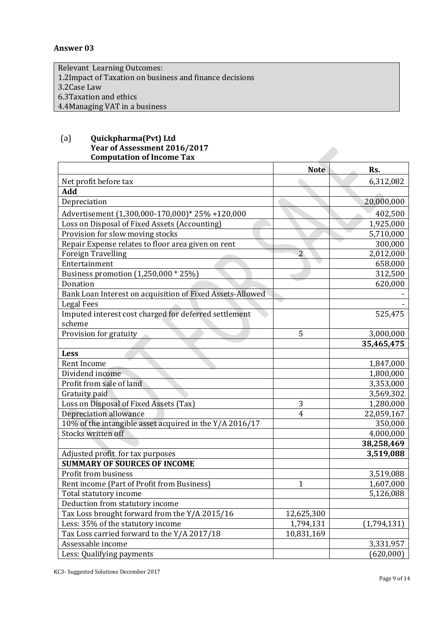#### **Answer 03**

Relevant Learning Outcomes: 1.2Impact of Taxation on business and finance decisions 3.2Case Law 6.3Taxation and ethics 4.4Managing VAT in a business

#### (a) **Quickpharma(Pvt) Ltd Year of Assessment 2016/2017 Computation of Income Tax**

|                                                           | <b>Note</b>    | Rs.         |
|-----------------------------------------------------------|----------------|-------------|
| Net profit before tax                                     |                | 6,312,082   |
| Add                                                       |                |             |
| Depreciation                                              |                | 20,000,000  |
| Advertisement (1,300,000-170,000)* 25% +120,000           |                | 402,500     |
| Loss on Disposal of Fixed Assets (Accounting)             |                | 1,925,000   |
| Provision for slow moving stocks                          |                | 5,710,000   |
| Repair Expense relates to floor area given on rent        |                | 300,000     |
| Foreign Travelling                                        | $\overline{2}$ | 2,012,000   |
| Entertainment                                             |                | 658,000     |
| Business promotion (1,250,000 * 25%)                      |                | 312,500     |
| Donation                                                  |                | 620,000     |
| Bank Loan Interest on acquisition of Fixed Assets-Allowed |                |             |
| <b>Legal Fees</b>                                         |                |             |
| Imputed interest cost charged for deferred settlement     |                | 525,475     |
| scheme                                                    |                |             |
| Provision for gratuity                                    | 5              | 3,000,000   |
|                                                           |                | 35,465,475  |
| Less                                                      |                |             |
| Rent Income                                               |                | 1,847,000   |
| Dividend income                                           |                | 1,800,000   |
| Profit from sale of land                                  |                | 3,353,000   |
| Gratuity paid                                             |                | 3,569,302   |
| Loss on Disposal of Fixed Assets (Tax)                    | 3              | 1,280,000   |
| Depreciation allowance                                    | $\overline{4}$ | 22,059,167  |
| 10% of the intangible asset acquired in the Y/A 2016/17   |                | 350,000     |
| Stocks written off                                        |                | 4,000,000   |
|                                                           |                | 38,258,469  |
| Adjusted profit for tax purposes                          |                | 3,519,088   |
| <b>SUMMARY OF SOURCES OF INCOME</b>                       |                |             |
| Profit from business                                      |                | 3,519,088   |
| Rent income (Part of Profit from Business)                | 1              | 1,607,000   |
| Total statutory income                                    |                | 5,126,088   |
| Deduction from statutory income                           |                |             |
| Tax Loss brought forward from the Y/A 2015/16             | 12,625,300     |             |
| Less: 35% of the statutory income                         | 1,794,131      | (1,794,131) |
| Tax Loss carried forward to the Y/A 2017/18               | 10,831,169     |             |
| Assessable income                                         |                | 3,331,957   |
| Less: Qualifying payments                                 |                | (620,000)   |

KC3- Suggested Solutions December 2017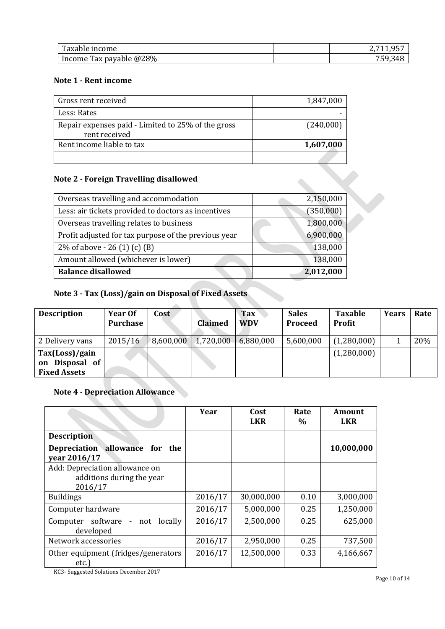| m<br>$\alpha$ m<br>пісопіе<br>$\Delta$ d $\overline{\phantom{a}}$                          |  |
|--------------------------------------------------------------------------------------------|--|
| @28%<br>-<br>Tax<br>$-20$<br>avable<br><i><u>HICOHIE</u></i><br>υa<br>$\sim$ $\sim$ $\sim$ |  |

#### **Note 1 - Rent income**

| Gross rent received                                                 | 1,847,000 |
|---------------------------------------------------------------------|-----------|
| Less: Rates                                                         |           |
| Repair expenses paid - Limited to 25% of the gross<br>rent received | (240,000) |
| Rent income liable to tax                                           | 1,607,000 |
|                                                                     |           |

### **Note 2 - Foreign Travelling disallowed**

| Amount allowed (whichever is lower)<br><b>Balance disallowed</b> | 138,000<br>2,012,000 |
|------------------------------------------------------------------|----------------------|
| 2% of above $-26(1)(c)(B)$                                       | 138,000              |
| Profit adjusted for tax purpose of the previous year             | 6,900,000            |
| Overseas travelling relates to business                          | 1,800,000            |
| Less: air tickets provided to doctors as incentives              | (350,000)            |
| Overseas travelling and accommodation                            | 2,150,000            |

## **Note 3 - Tax (Loss)/gain on Disposal of Fixed Assets**

| <b>Description</b>                                      | Year Of<br>Purchase | Cost      | <b>Claimed</b> | <b>Tax</b><br><b>WDV</b> | <b>Sales</b><br>Proceed | <b>Taxable</b><br><b>Profit</b> | <b>Years</b> | Rate |
|---------------------------------------------------------|---------------------|-----------|----------------|--------------------------|-------------------------|---------------------------------|--------------|------|
| 2 Delivery vans                                         | 2015/16             | 8,600,000 | 1,720,000      | 6,880,000                | 5,600,000               | (1,280,000)                     |              | 20%  |
| Tax(Loss)/gain<br>on Disposal of<br><b>Fixed Assets</b> |                     |           |                |                          |                         | (1,280,000)                     |              |      |

## **Note 4 - Depreciation Allowance**

|                                                                                                                 | Year    | Cost<br><b>LKR</b> | Rate<br>$\%$ | <b>Amount</b><br><b>LKR</b> |
|-----------------------------------------------------------------------------------------------------------------|---------|--------------------|--------------|-----------------------------|
| <b>Description</b>                                                                                              |         |                    |              |                             |
| Depreciation allowance for the<br>vear 2016/17                                                                  |         |                    |              | 10,000,000                  |
| Add: Depreciation allowance on<br>additions during the year<br>2016/17                                          |         |                    |              |                             |
| <b>Buildings</b>                                                                                                | 2016/17 | 30,000,000         | 0.10         | 3,000,000                   |
| Computer hardware                                                                                               | 2016/17 | 5,000,000          | 0.25         | 1,250,000                   |
| Computer software - not locally<br>developed                                                                    | 2016/17 | 2,500,000          | 0.25         | 625,000                     |
| Network accessories                                                                                             | 2016/17 | 2,950,000          | 0.25         | 737,500                     |
| Other equipment (fridges/generators<br>etc.)<br>$VCO$ $C_{\text{total}}$ $1C_{\text{total}}$ $R_{\text{total}}$ | 2016/17 | 12,500,000         | 0.33         | 4,166,667                   |

KC3- Suggested Solutions December 2017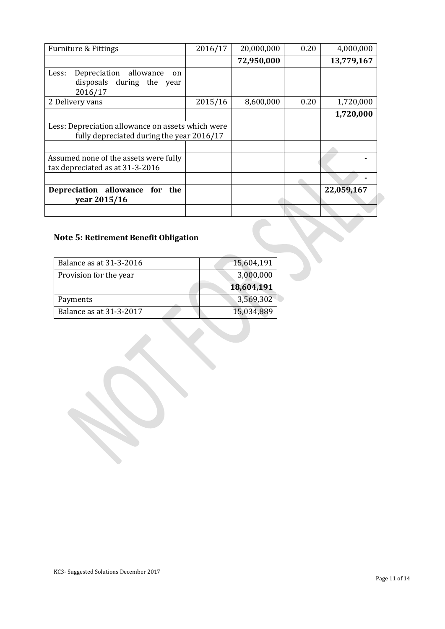| <b>Furniture &amp; Fittings</b>                                                                | 2016/17 | 20,000,000 | 0.20 | 4,000,000  |
|------------------------------------------------------------------------------------------------|---------|------------|------|------------|
|                                                                                                |         | 72,950,000 |      | 13,779,167 |
| allowance<br>Less:<br>Depreciation<br>on<br>disposals<br>during the year<br>2016/17            |         |            |      |            |
| 2 Delivery vans                                                                                | 2015/16 | 8,600,000  | 0.20 | 1,720,000  |
|                                                                                                |         |            |      | 1,720,000  |
| Less: Depreciation allowance on assets which were<br>fully depreciated during the year 2016/17 |         |            |      |            |
| Assumed none of the assets were fully<br>tax depreciated as at 31-3-2016                       |         |            |      |            |
|                                                                                                |         |            |      |            |
| Depreciation allowance<br>for the<br>year 2015/16                                              |         |            |      | 22,059,167 |
|                                                                                                |         |            |      |            |

# **Note 5: Retirement Benefit Obligation**

| Balance as at 31-3-2016 | 15,604,191 |
|-------------------------|------------|
| Provision for the year  | 3,000,000  |
|                         | 18,604,191 |
| Payments                | 3,569,302  |
| Balance as at 31-3-2017 | 15,034,889 |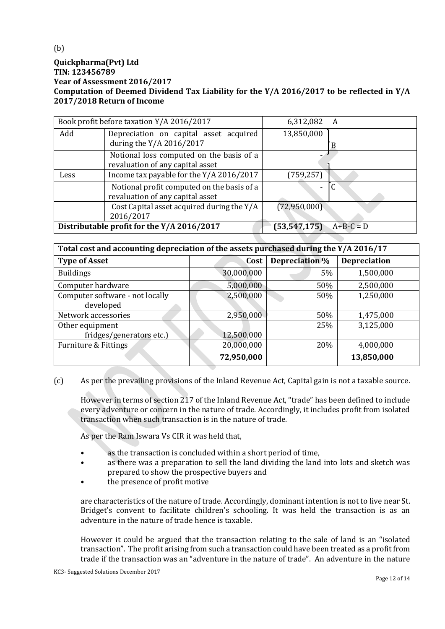#### **Quickpharma(Pvt) Ltd TIN: 123456789 Year of Assessment 2016/2017 Computation of Deemed Dividend Tax Liability for the Y/A 2016/2017 to be reflected in Y/A 2017/2018 Return of Income**

| Book profit before taxation Y/A 2016/2017  |                                                                                | 6,312,082                | A           |
|--------------------------------------------|--------------------------------------------------------------------------------|--------------------------|-------------|
| Add                                        | Depreciation on capital asset acquired<br>during the Y/A 2016/2017             | 13,850,000               |             |
|                                            | Notional loss computed on the basis of a<br>revaluation of any capital asset   |                          |             |
| Less                                       | Income tax payable for the Y/A 2016/2017                                       | (759, 257)               |             |
|                                            | Notional profit computed on the basis of a<br>revaluation of any capital asset | $\overline{\phantom{0}}$ | ГC          |
|                                            | Cost Capital asset acquired during the Y/A<br>2016/2017                        | (72,950,000)             |             |
| Distributable profit for the Y/A 2016/2017 |                                                                                | (53, 547, 175)           | $A+B-C = D$ |

| Total cost and accounting depreciation of the assets purchased during the Y/A 2016/17 |            |                |                     |  |  |
|---------------------------------------------------------------------------------------|------------|----------------|---------------------|--|--|
| <b>Type of Asset</b>                                                                  | Cost       | Depreciation % | <b>Depreciation</b> |  |  |
| <b>Buildings</b>                                                                      | 30,000,000 | 5%             | 1,500,000           |  |  |
| Computer hardware                                                                     | 5,000,000  | 50%            | 2,500,000           |  |  |
| Computer software - not locally<br>developed                                          | 2,500,000  | 50%            | 1,250,000           |  |  |
| Network accessories                                                                   | 2,950,000  | 50%            | 1,475,000           |  |  |
| Other equipment<br>fridges/generators etc.)                                           | 12,500,000 | 25%            | 3,125,000           |  |  |
| Furniture & Fittings                                                                  | 20,000,000 | 20%            | 4,000,000           |  |  |
|                                                                                       | 72,950,000 |                | 13,850,000          |  |  |

(c) As per the prevailing provisions of the Inland Revenue Act, Capital gain is not a taxable source.

However in terms of section 217 of the Inland Revenue Act, "trade" has been defined to include every adventure or concern in the nature of trade. Accordingly, it includes profit from isolated transaction when such transaction is in the nature of trade.

As per the Ram Iswara Vs CIR it was held that,

- as the transaction is concluded within a short period of time,
- as there was a preparation to sell the land dividing the land into lots and sketch was prepared to show the prospective buyers and
- the presence of profit motive

are characteristics of the nature of trade. Accordingly, dominant intention is not to live near St. Bridget's convent to facilitate children's schooling. It was held the transaction is as an adventure in the nature of trade hence is taxable.

However it could be argued that the transaction relating to the sale of land is an "isolated transaction". The profit arising from such a transaction could have been treated as a profit from trade if the transaction was an "adventure in the nature of trade". An adventure in the nature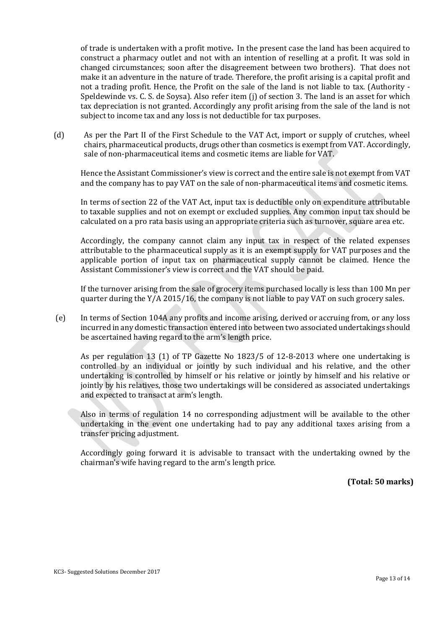of trade is undertaken with a profit motive**.** In the present case the land has been acquired to construct a pharmacy outlet and not with an intention of reselling at a profit. It was sold in changed circumstances; soon after the disagreement between two brothers). That does not make it an adventure in the nature of trade. Therefore, the profit arising is a capital profit and not a trading profit. Hence, the Profit on the sale of the land is not liable to tax. (Authority - Speldewinde vs. C. S. de Soysa). Also refer item (j) of section 3. The land is an asset for which tax depreciation is not granted. Accordingly any profit arising from the sale of the land is not subject to income tax and any loss is not deductible for tax purposes.

(d) As per the Part II of the First Schedule to the VAT Act, import or supply of crutches, wheel chairs, pharmaceutical products, drugs other than cosmetics is exempt from VAT. Accordingly, sale of non-pharmaceutical items and cosmetic items are liable for VAT.

Hence the Assistant Commissioner's view is correct and the entire sale is not exempt from VAT and the company has to pay VAT on the sale of non-pharmaceutical items and cosmetic items.

In terms of section 22 of the VAT Act, input tax is deductible only on expenditure attributable to taxable supplies and not on exempt or excluded supplies. Any common input tax should be calculated on a pro rata basis using an appropriate criteria such as turnover, square area etc.

Accordingly, the company cannot claim any input tax in respect of the related expenses attributable to the pharmaceutical supply as it is an exempt supply for VAT purposes and the applicable portion of input tax on pharmaceutical supply cannot be claimed. Hence the Assistant Commissioner's view is correct and the VAT should be paid.

If the turnover arising from the sale of grocery items purchased locally is less than 100 Mn per quarter during the Y/A 2015/16, the company is not liable to pay VAT on such grocery sales.

(e) In terms of Section 104A any profits and income arising, derived or accruing from, or any loss incurred in any domestic transaction entered into between two associated undertakings should be ascertained having regard to the arm's length price.

As per regulation 13 (1) of TP Gazette No 1823/5 of 12-8-2013 where one undertaking is controlled by an individual or jointly by such individual and his relative, and the other undertaking is controlled by himself or his relative or jointly by himself and his relative or jointly by his relatives, those two undertakings will be considered as associated undertakings and expected to transact at arm's length.

Also in terms of regulation 14 no corresponding adjustment will be available to the other undertaking in the event one undertaking had to pay any additional taxes arising from a transfer pricing adjustment.

Accordingly going forward it is advisable to transact with the undertaking owned by the chairman's wife having regard to the arm's length price.

**(Total: 50 marks)**